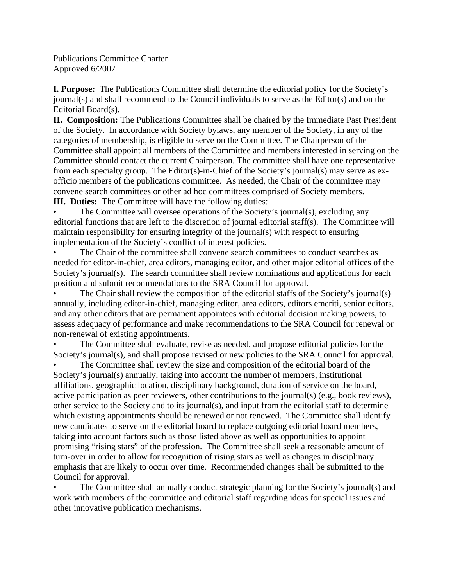Publications Committee Charter Approved 6/2007

**I. Purpose:** The Publications Committee shall determine the editorial policy for the Society's journal(s) and shall recommend to the Council individuals to serve as the Editor(s) and on the Editorial Board(s).

**II. Composition:** The Publications Committee shall be chaired by the Immediate Past President of the Society. In accordance with Society bylaws, any member of the Society, in any of the categories of membership, is eligible to serve on the Committee. The Chairperson of the Committee shall appoint all members of the Committee and members interested in serving on the Committee should contact the current Chairperson. The committee shall have one representative from each specialty group. The Editor(s)-in-Chief of the Society's journal(s) may serve as exofficio members of the publications committee. As needed, the Chair of the committee may convene search committees or other ad hoc committees comprised of Society members.

**III. Duties:** The Committee will have the following duties:

The Committee will oversee operations of the Society's journal(s), excluding any editorial functions that are left to the discretion of journal editorial staff(s). The Committee will maintain responsibility for ensuring integrity of the journal(s) with respect to ensuring implementation of the Society's conflict of interest policies.

The Chair of the committee shall convene search committees to conduct searches as needed for editor-in-chief, area editors, managing editor, and other major editorial offices of the Society's journal(s). The search committee shall review nominations and applications for each position and submit recommendations to the SRA Council for approval.

The Chair shall review the composition of the editorial staffs of the Society's journal(s) annually, including editor-in-chief, managing editor, area editors, editors emeriti, senior editors, and any other editors that are permanent appointees with editorial decision making powers, to assess adequacy of performance and make recommendations to the SRA Council for renewal or non-renewal of existing appointments.

The Committee shall evaluate, revise as needed, and propose editorial policies for the Society's journal(s), and shall propose revised or new policies to the SRA Council for approval.

The Committee shall review the size and composition of the editorial board of the Society's journal(s) annually, taking into account the number of members, institutional affiliations, geographic location, disciplinary background, duration of service on the board, active participation as peer reviewers, other contributions to the journal(s) (e.g., book reviews), other service to the Society and to its journal(s), and input from the editorial staff to determine which existing appointments should be renewed or not renewed. The Committee shall identify new candidates to serve on the editorial board to replace outgoing editorial board members, taking into account factors such as those listed above as well as opportunities to appoint promising "rising stars" of the profession. The Committee shall seek a reasonable amount of turn-over in order to allow for recognition of rising stars as well as changes in disciplinary emphasis that are likely to occur over time. Recommended changes shall be submitted to the Council for approval.

• The Committee shall annually conduct strategic planning for the Society's journal(s) and work with members of the committee and editorial staff regarding ideas for special issues and other innovative publication mechanisms.